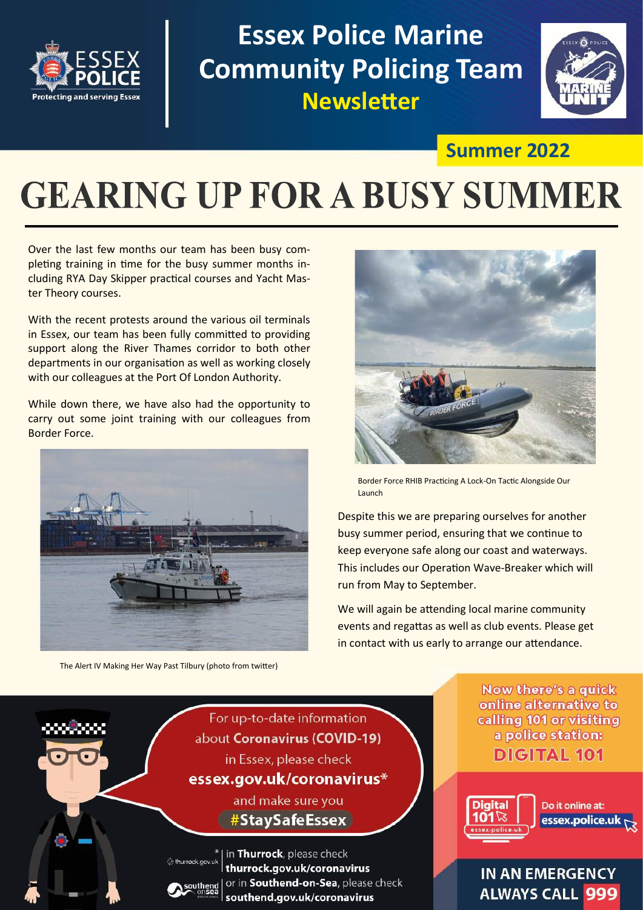

**Essex Police Marine Community Policing Team Newsletter**



### **Summer 2022**

# **GEARING UP FOR A BUSY SUMMER**

Over the last few months our team has been busy completing training in time for the busy summer months including RYA Day Skipper practical courses and Yacht Master Theory courses.

With the recent protests around the various oil terminals in Essex, our team has been fully committed to providing support along the River Thames corridor to both other departments in our organisation as well as working closely with our colleagues at the Port Of London Authority.

While down there, we have also had the opportunity to carry out some joint training with our colleagues from Border Force.



The Alert IV Making Her Way Past Tilbury (photo from twitter)



Border Force RHIB Practicing A Lock-On Tactic Alongside Our Launch

Despite this we are preparing ourselves for another busy summer period, ensuring that we continue to keep everyone safe along our coast and waterways. This includes our Operation Wave-Breaker which will run from May to September.

We will again be attending local marine community events and regattas as well as club events. Please get in contact with us early to arrange our attendance.

For up-to-date information about Coronavirus (COVID-19) in Essex, please check

essex.gov.uk/coronavirus\*

and make sure you #StaySafeEssex

in Thurrock, please check thurrock.gov.uk/coronavirus or in Southend-on-Sea, please check southend.gov.uk/coronavirus

**Now there's a quick** online alternative to calling 101 or visiting a police station: **DIGITAL 101** 



Do it online at: essex.police.ul

#### **IN AN EMERGENCY ALWAYS CALL 999**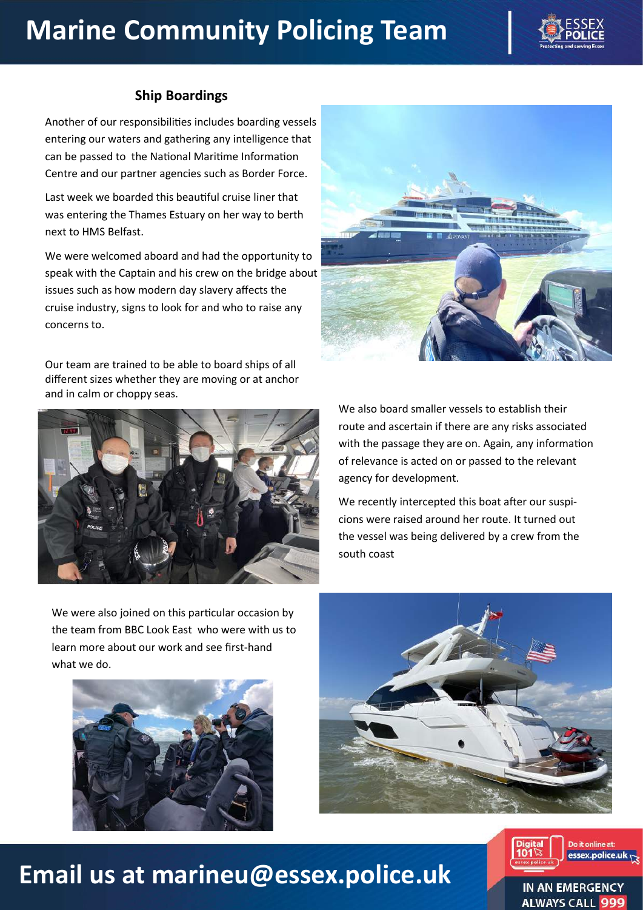## **Marine Community Policing Team**



#### **Ship Boardings**

Another of our responsibilities includes boarding vessels entering our waters and gathering any intelligence that can be passed to the National Maritime Information Centre and our partner agencies such as Border Force.

Last week we boarded this beautiful cruise liner that was entering the Thames Estuary on her way to berth next to HMS Belfast.

We were welcomed aboard and had the opportunity to speak with the Captain and his crew on the bridge about issues such as how modern day slavery affects the cruise industry, signs to look for and who to raise any concerns to.

Our team are trained to be able to board ships of all different sizes whether they are moving or at anchor and in calm or choppy seas.



We also board smaller vessels to establish their route and ascertain if there are any risks associated with the passage they are on. Again, any information of relevance is acted on or passed to the relevant agency for development.

We recently intercepted this boat after our suspicions were raised around her route. It turned out the vessel was being delivered by a crew from the south coast

We were also joined on this particular occasion by the team from BBC Look East who were with us to learn more about our work and see first-hand what we do.







### **Email us at marineu@essex.police.uk**

IN AN EMERGENCY **ALWAYS CALI** 

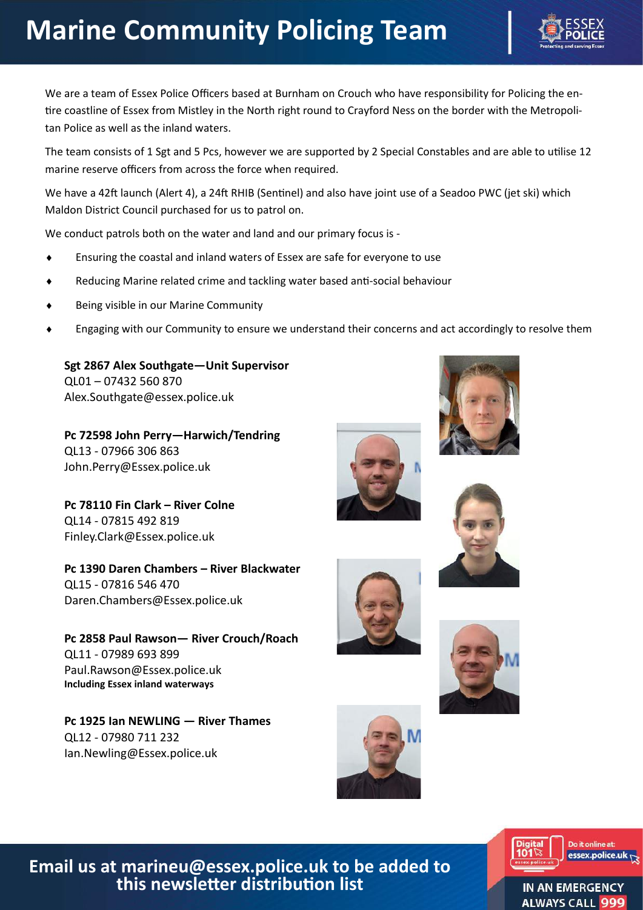# **Marine Community Policing Team**

We are a team of Essex Police Officers based at Burnham on Crouch who have responsibility for Policing the entire coastline of Essex from Mistley in the North right round to Crayford Ness on the border with the Metropolitan Police as well as the inland waters.

The team consists of 1 Sgt and 5 Pcs, however we are supported by 2 Special Constables and are able to utilise 12 marine reserve officers from across the force when required.

We have a 42ft launch (Alert 4), a 24ft RHIB (Sentinel) and also have joint use of a Seadoo PWC (jet ski) which Maldon District Council purchased for us to patrol on.

We conduct patrols both on the water and land and our primary focus is -

- Ensuring the coastal and inland waters of Essex are safe for everyone to use
- Reducing Marine related crime and tackling water based anti-social behaviour
- Being visible in our Marine Community
- Engaging with our Community to ensure we understand their concerns and act accordingly to resolve them

**Sgt 2867 Alex Southgate—Unit Supervisor**  QL01 – 07432 560 870 Alex.Southgate@essex.police.uk

**Pc 72598 John Perry—Harwich/Tendring** QL13 - 07966 306 863 John.Perry@Essex.police.uk

**Pc 78110 Fin Clark – River Colne** QL14 - 07815 492 819 Finley.Clark@Essex.police.uk

**Pc 1390 Daren Chambers – River Blackwater** QL15 - 07816 546 470 Daren.Chambers@Essex.police.uk

**Pc 2858 Paul Rawson— River Crouch/Roach** QL11 - 07989 693 899 Paul.Rawson@Essex.police.uk **Including Essex inland waterways**

**Pc 1925 Ian NEWLING — River Thames** QL12 - 07980 711 232 Ian.Newling@Essex.police.uk













**Email us at marineu@essex.police.uk to be added to this newsletter distribution list**

IN AN EMERGENCY **ALWAYS CALL**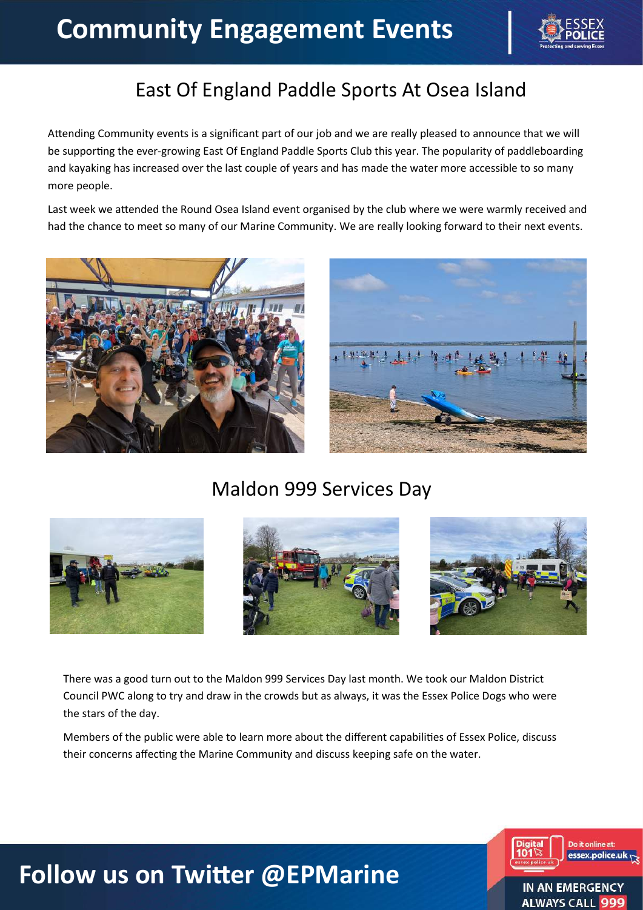

### East Of England Paddle Sports At Osea Island

Attending Community events is a significant part of our job and we are really pleased to announce that we will be supporting the ever-growing East Of England Paddle Sports Club this year. The popularity of paddleboarding and kayaking has increased over the last couple of years and has made the water more accessible to so many more people.

Last week we attended the Round Osea Island event organised by the club where we were warmly received and had the chance to meet so many of our Marine Community. We are really looking forward to their next events.





### Maldon 999 Services Day



There was a good turn out to the Maldon 999 Services Day last month. We took our Maldon District Council PWC along to try and draw in the crowds but as always, it was the Essex Police Dogs who were the stars of the day.

Members of the public were able to learn more about the different capabilities of Essex Police, discuss their concerns affecting the Marine Community and discuss keeping safe on the water.



### **Follow us on Twitter @EPMarine**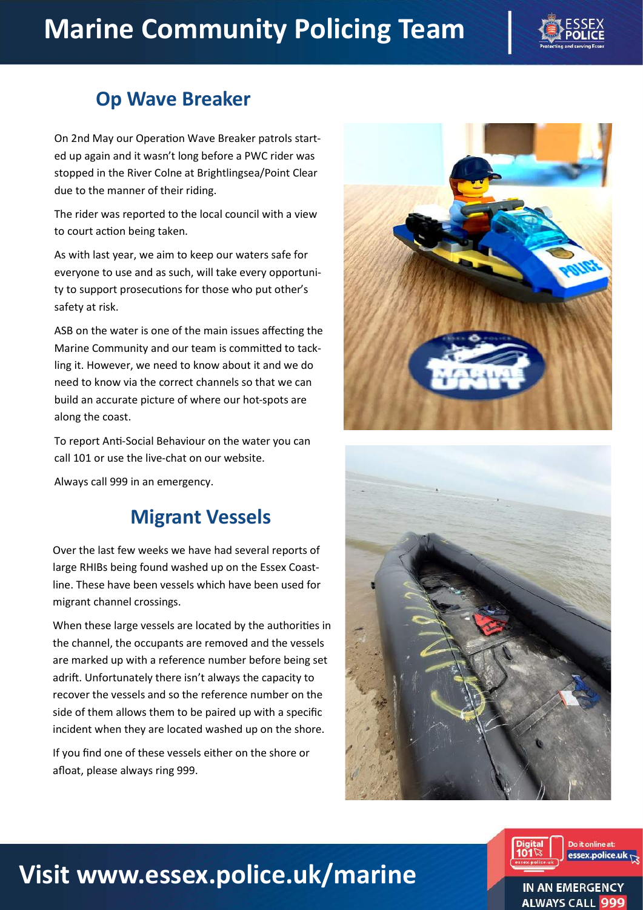## **Marine Community Policing Team**



### **Op Wave Breaker**

On 2nd May our Operation Wave Breaker patrols started up again and it wasn't long before a PWC rider was stopped in the River Colne at Brightlingsea/Point Clear due to the manner of their riding.

The rider was reported to the local council with a view to court action being taken.

As with last year, we aim to keep our waters safe for everyone to use and as such, will take every opportunity to support prosecutions for those who put other's safety at risk.

ASB on the water is one of the main issues affecting the Marine Community and our team is committed to tackling it. However, we need to know about it and we do need to know via the correct channels so that we can build an accurate picture of where our hot-spots are along the coast.

To report Anti-Social Behaviour on the water you can call 101 or use the live-chat on our website.

Always call 999 in an emergency.

### **Migrant Vessels**

Over the last few weeks we have had several reports of large RHIBs being found washed up on the Essex Coastline. These have been vessels which have been used for migrant channel crossings.

When these large vessels are located by the authorities in the channel, the occupants are removed and the vessels are marked up with a reference number before being set adrift. Unfortunately there isn't always the capacity to recover the vessels and so the reference number on the side of them allows them to be paired up with a specific incident when they are located washed up on the shore.

If you find one of these vessels either on the shore or afloat, please always ring 999.







### **Visit www.essex.police.uk/marine**

IN AN EMERGENCY **ALWAYS CALI**